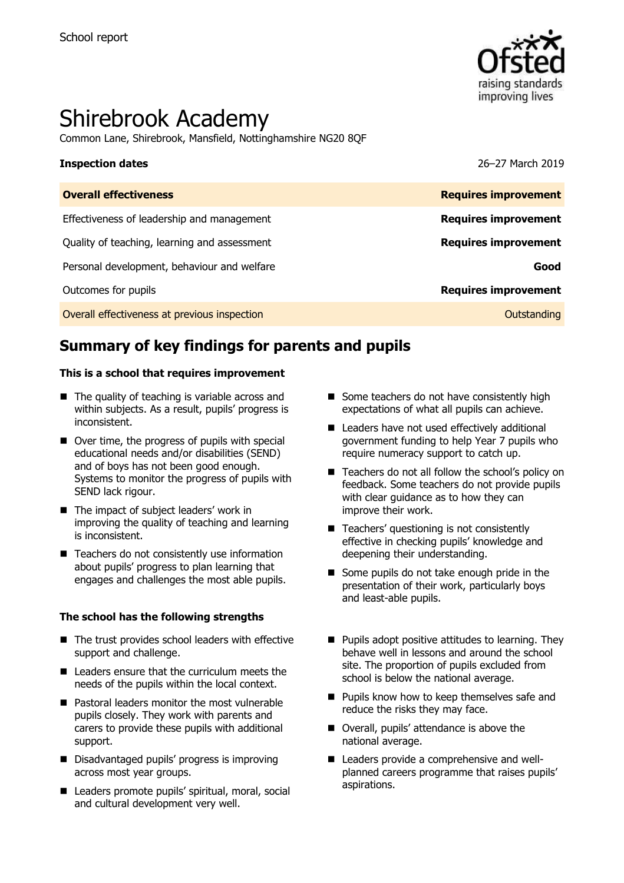

# Shirebrook Academy

Common Lane, Shirebrook, Mansfield, Nottinghamshire NG20 8QF

#### **Inspection dates** 26–27 March 2019

| <b>Requires improvement</b> | <b>Overall effectiveness</b>                 |
|-----------------------------|----------------------------------------------|
| <b>Requires improvement</b> | Effectiveness of leadership and management   |
| <b>Requires improvement</b> | Quality of teaching, learning and assessment |
| Good                        | Personal development, behaviour and welfare  |
| <b>Requires improvement</b> | Outcomes for pupils                          |
| Outstanding                 | Overall effectiveness at previous inspection |

# **Summary of key findings for parents and pupils**

#### **This is a school that requires improvement**

- $\blacksquare$  The quality of teaching is variable across and within subjects. As a result, pupils' progress is inconsistent.
- Over time, the progress of pupils with special educational needs and/or disabilities (SEND) and of boys has not been good enough. Systems to monitor the progress of pupils with SEND lack rigour.
- The impact of subject leaders' work in improving the quality of teaching and learning is inconsistent.
- $\blacksquare$  Teachers do not consistently use information about pupils' progress to plan learning that engages and challenges the most able pupils.

#### **The school has the following strengths**

- The trust provides school leaders with effective support and challenge.
- Leaders ensure that the curriculum meets the needs of the pupils within the local context.
- Pastoral leaders monitor the most vulnerable pupils closely. They work with parents and carers to provide these pupils with additional support.
- Disadvantaged pupils' progress is improving across most year groups.
- Leaders promote pupils' spiritual, moral, social and cultural development very well.
- Some teachers do not have consistently high expectations of what all pupils can achieve.
- Leaders have not used effectively additional government funding to help Year 7 pupils who require numeracy support to catch up.
- Teachers do not all follow the school's policy on feedback. Some teachers do not provide pupils with clear guidance as to how they can improve their work.
- Teachers' questioning is not consistently effective in checking pupils' knowledge and deepening their understanding.
- Some pupils do not take enough pride in the presentation of their work, particularly boys and least-able pupils.
- $\blacksquare$  Pupils adopt positive attitudes to learning. They behave well in lessons and around the school site. The proportion of pupils excluded from school is below the national average.
- $\blacksquare$  Pupils know how to keep themselves safe and reduce the risks they may face.
- Overall, pupils' attendance is above the national average.
- Leaders provide a comprehensive and wellplanned careers programme that raises pupils' aspirations.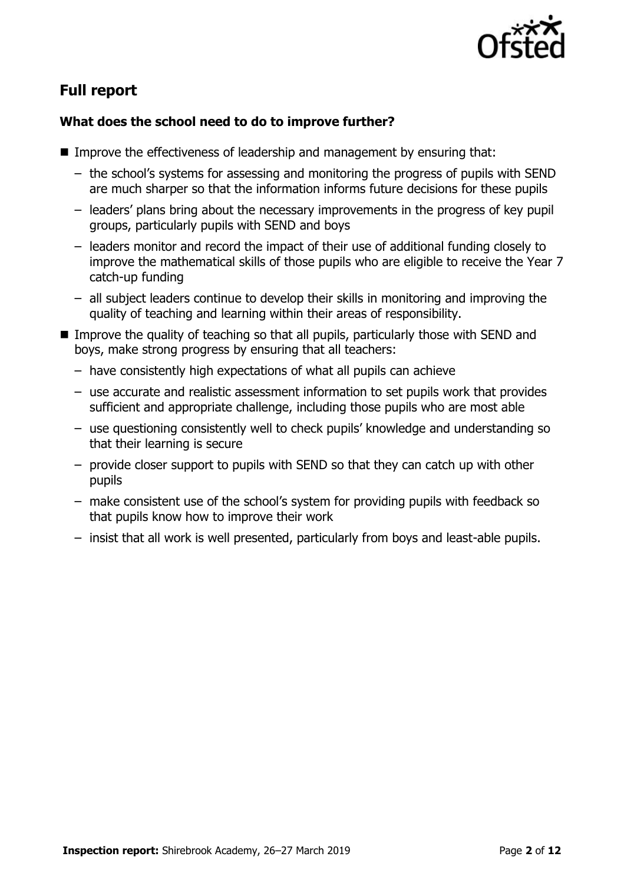

# **Full report**

### **What does the school need to do to improve further?**

- Improve the effectiveness of leadership and management by ensuring that:
	- the school's systems for assessing and monitoring the progress of pupils with SEND are much sharper so that the information informs future decisions for these pupils
	- leaders' plans bring about the necessary improvements in the progress of key pupil groups, particularly pupils with SEND and boys
	- leaders monitor and record the impact of their use of additional funding closely to improve the mathematical skills of those pupils who are eligible to receive the Year 7 catch-up funding
	- all subject leaders continue to develop their skills in monitoring and improving the quality of teaching and learning within their areas of responsibility.
- Improve the quality of teaching so that all pupils, particularly those with SEND and boys, make strong progress by ensuring that all teachers:
	- have consistently high expectations of what all pupils can achieve
	- use accurate and realistic assessment information to set pupils work that provides sufficient and appropriate challenge, including those pupils who are most able
	- use questioning consistently well to check pupils' knowledge and understanding so that their learning is secure
	- provide closer support to pupils with SEND so that they can catch up with other pupils
	- make consistent use of the school's system for providing pupils with feedback so that pupils know how to improve their work
	- insist that all work is well presented, particularly from boys and least-able pupils.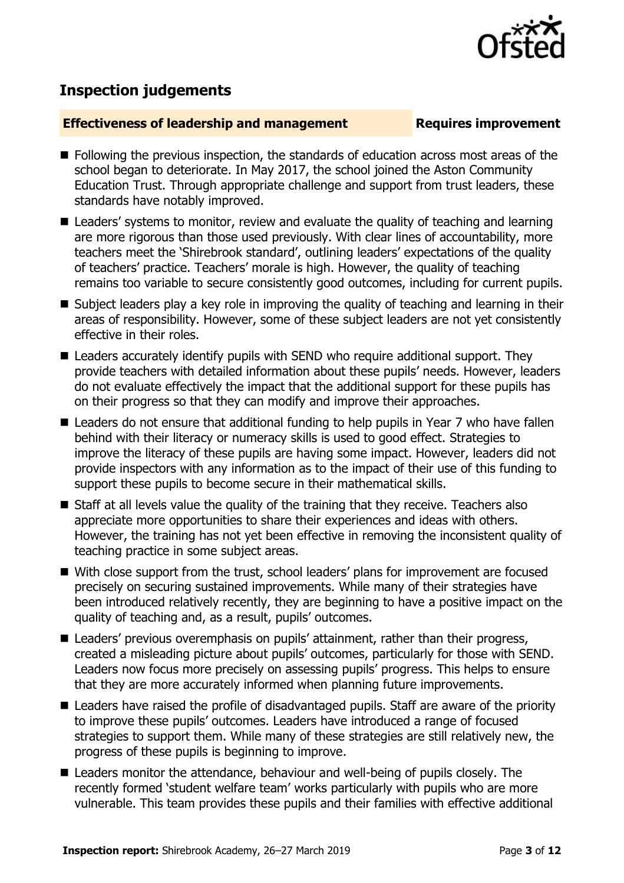

## **Inspection judgements**

#### **Effectiveness of leadership and management Requires improvement**

- **Following the previous inspection, the standards of education across most areas of the** school began to deteriorate. In May 2017, the school joined the Aston Community Education Trust. Through appropriate challenge and support from trust leaders, these standards have notably improved.
- Leaders' systems to monitor, review and evaluate the quality of teaching and learning are more rigorous than those used previously. With clear lines of accountability, more teachers meet the 'Shirebrook standard', outlining leaders' expectations of the quality of teachers' practice. Teachers' morale is high. However, the quality of teaching remains too variable to secure consistently good outcomes, including for current pupils.
- Subject leaders play a key role in improving the quality of teaching and learning in their areas of responsibility. However, some of these subject leaders are not yet consistently effective in their roles.
- Leaders accurately identify pupils with SEND who require additional support. They provide teachers with detailed information about these pupils' needs. However, leaders do not evaluate effectively the impact that the additional support for these pupils has on their progress so that they can modify and improve their approaches.
- Leaders do not ensure that additional funding to help pupils in Year 7 who have fallen behind with their literacy or numeracy skills is used to good effect. Strategies to improve the literacy of these pupils are having some impact. However, leaders did not provide inspectors with any information as to the impact of their use of this funding to support these pupils to become secure in their mathematical skills.
- Staff at all levels value the quality of the training that they receive. Teachers also appreciate more opportunities to share their experiences and ideas with others. However, the training has not yet been effective in removing the inconsistent quality of teaching practice in some subject areas.
- With close support from the trust, school leaders' plans for improvement are focused precisely on securing sustained improvements. While many of their strategies have been introduced relatively recently, they are beginning to have a positive impact on the quality of teaching and, as a result, pupils' outcomes.
- Leaders' previous overemphasis on pupils' attainment, rather than their progress, created a misleading picture about pupils' outcomes, particularly for those with SEND. Leaders now focus more precisely on assessing pupils' progress. This helps to ensure that they are more accurately informed when planning future improvements.
- Leaders have raised the profile of disadvantaged pupils. Staff are aware of the priority to improve these pupils' outcomes. Leaders have introduced a range of focused strategies to support them. While many of these strategies are still relatively new, the progress of these pupils is beginning to improve.
- Leaders monitor the attendance, behaviour and well-being of pupils closely. The recently formed 'student welfare team' works particularly with pupils who are more vulnerable. This team provides these pupils and their families with effective additional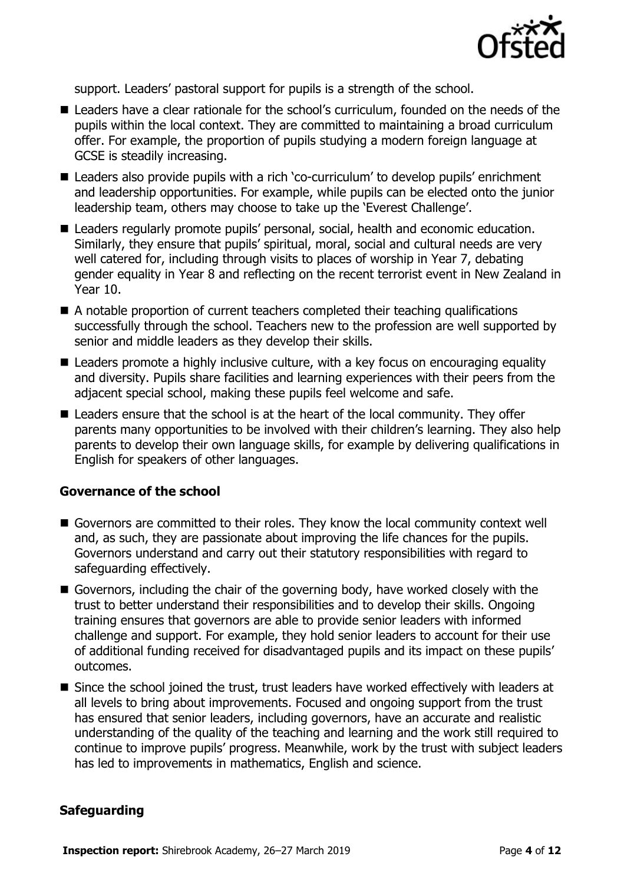

support. Leaders' pastoral support for pupils is a strength of the school.

- Leaders have a clear rationale for the school's curriculum, founded on the needs of the pupils within the local context. They are committed to maintaining a broad curriculum offer. For example, the proportion of pupils studying a modern foreign language at GCSE is steadily increasing.
- Leaders also provide pupils with a rich 'co-curriculum' to develop pupils' enrichment and leadership opportunities. For example, while pupils can be elected onto the junior leadership team, others may choose to take up the 'Everest Challenge'.
- Leaders regularly promote pupils' personal, social, health and economic education. Similarly, they ensure that pupils' spiritual, moral, social and cultural needs are very well catered for, including through visits to places of worship in Year 7, debating gender equality in Year 8 and reflecting on the recent terrorist event in New Zealand in Year 10.
- A notable proportion of current teachers completed their teaching qualifications successfully through the school. Teachers new to the profession are well supported by senior and middle leaders as they develop their skills.
- Leaders promote a highly inclusive culture, with a key focus on encouraging equality and diversity. Pupils share facilities and learning experiences with their peers from the adjacent special school, making these pupils feel welcome and safe.
- Leaders ensure that the school is at the heart of the local community. They offer parents many opportunities to be involved with their children's learning. They also help parents to develop their own language skills, for example by delivering qualifications in English for speakers of other languages.

#### **Governance of the school**

- Governors are committed to their roles. They know the local community context well and, as such, they are passionate about improving the life chances for the pupils. Governors understand and carry out their statutory responsibilities with regard to safeguarding effectively.
- Governors, including the chair of the governing body, have worked closely with the trust to better understand their responsibilities and to develop their skills. Ongoing training ensures that governors are able to provide senior leaders with informed challenge and support. For example, they hold senior leaders to account for their use of additional funding received for disadvantaged pupils and its impact on these pupils' outcomes.
- Since the school joined the trust, trust leaders have worked effectively with leaders at all levels to bring about improvements. Focused and ongoing support from the trust has ensured that senior leaders, including governors, have an accurate and realistic understanding of the quality of the teaching and learning and the work still required to continue to improve pupils' progress. Meanwhile, work by the trust with subject leaders has led to improvements in mathematics, English and science.

#### **Safeguarding**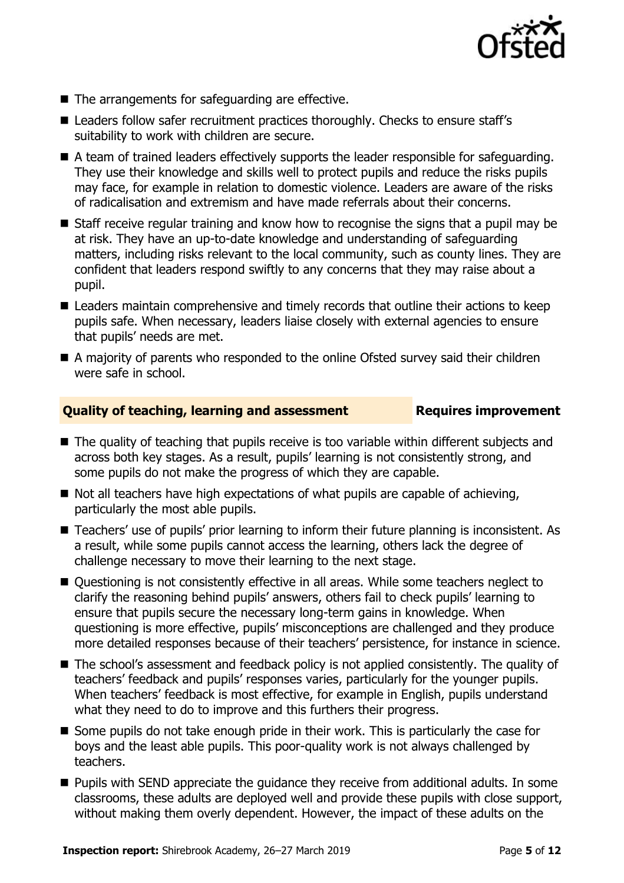

- $\blacksquare$  The arrangements for safeguarding are effective.
- Leaders follow safer recruitment practices thoroughly. Checks to ensure staff's suitability to work with children are secure.
- A team of trained leaders effectively supports the leader responsible for safeguarding. They use their knowledge and skills well to protect pupils and reduce the risks pupils may face, for example in relation to domestic violence. Leaders are aware of the risks of radicalisation and extremism and have made referrals about their concerns.
- Staff receive regular training and know how to recognise the signs that a pupil may be at risk. They have an up-to-date knowledge and understanding of safeguarding matters, including risks relevant to the local community, such as county lines. They are confident that leaders respond swiftly to any concerns that they may raise about a pupil.
- Leaders maintain comprehensive and timely records that outline their actions to keep pupils safe. When necessary, leaders liaise closely with external agencies to ensure that pupils' needs are met.
- A majority of parents who responded to the online Ofsted survey said their children were safe in school.

#### **Quality of teaching, learning and assessment France Requires improvement**

- The quality of teaching that pupils receive is too variable within different subjects and across both key stages. As a result, pupils' learning is not consistently strong, and some pupils do not make the progress of which they are capable.
- $\blacksquare$  Not all teachers have high expectations of what pupils are capable of achieving, particularly the most able pupils.
- Teachers' use of pupils' prior learning to inform their future planning is inconsistent. As a result, while some pupils cannot access the learning, others lack the degree of challenge necessary to move their learning to the next stage.
- Ouestioning is not consistently effective in all areas. While some teachers neglect to clarify the reasoning behind pupils' answers, others fail to check pupils' learning to ensure that pupils secure the necessary long-term gains in knowledge. When questioning is more effective, pupils' misconceptions are challenged and they produce more detailed responses because of their teachers' persistence, for instance in science.
- The school's assessment and feedback policy is not applied consistently. The quality of teachers' feedback and pupils' responses varies, particularly for the younger pupils. When teachers' feedback is most effective, for example in English, pupils understand what they need to do to improve and this furthers their progress.
- Some pupils do not take enough pride in their work. This is particularly the case for boys and the least able pupils. This poor-quality work is not always challenged by teachers.
- **Pupils with SEND appreciate the quidance they receive from additional adults. In some** classrooms, these adults are deployed well and provide these pupils with close support, without making them overly dependent. However, the impact of these adults on the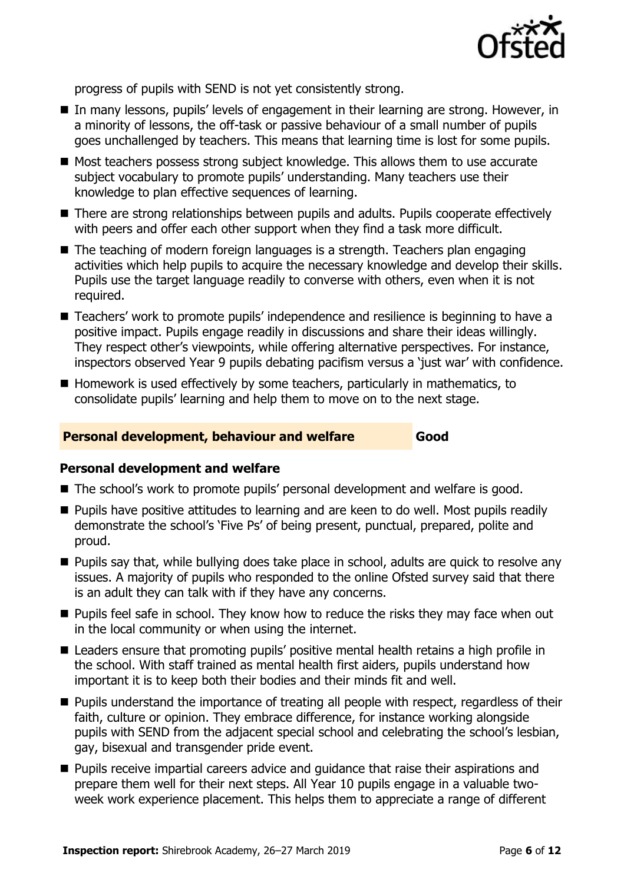

progress of pupils with SEND is not yet consistently strong.

- In many lessons, pupils' levels of engagement in their learning are strong. However, in a minority of lessons, the off-task or passive behaviour of a small number of pupils goes unchallenged by teachers. This means that learning time is lost for some pupils.
- Most teachers possess strong subject knowledge. This allows them to use accurate subject vocabulary to promote pupils' understanding. Many teachers use their knowledge to plan effective sequences of learning.
- There are strong relationships between pupils and adults. Pupils cooperate effectively with peers and offer each other support when they find a task more difficult.
- The teaching of modern foreign languages is a strength. Teachers plan engaging activities which help pupils to acquire the necessary knowledge and develop their skills. Pupils use the target language readily to converse with others, even when it is not required.
- Teachers' work to promote pupils' independence and resilience is beginning to have a positive impact. Pupils engage readily in discussions and share their ideas willingly. They respect other's viewpoints, while offering alternative perspectives. For instance, inspectors observed Year 9 pupils debating pacifism versus a 'just war' with confidence.
- Homework is used effectively by some teachers, particularly in mathematics, to consolidate pupils' learning and help them to move on to the next stage.

#### **Personal development, behaviour and welfare Good**

#### **Personal development and welfare**

- The school's work to promote pupils' personal development and welfare is good.
- **Pupils have positive attitudes to learning and are keen to do well. Most pupils readily** demonstrate the school's 'Five Ps' of being present, punctual, prepared, polite and proud.
- **Pupils say that, while bullying does take place in school, adults are quick to resolve any** issues. A majority of pupils who responded to the online Ofsted survey said that there is an adult they can talk with if they have any concerns.
- **Pupils feel safe in school. They know how to reduce the risks they may face when out** in the local community or when using the internet.
- Leaders ensure that promoting pupils' positive mental health retains a high profile in the school. With staff trained as mental health first aiders, pupils understand how important it is to keep both their bodies and their minds fit and well.
- **Pupils understand the importance of treating all people with respect, regardless of their** faith, culture or opinion. They embrace difference, for instance working alongside pupils with SEND from the adjacent special school and celebrating the school's lesbian, gay, bisexual and transgender pride event.
- **Pupils receive impartial careers advice and quidance that raise their aspirations and** prepare them well for their next steps. All Year 10 pupils engage in a valuable twoweek work experience placement. This helps them to appreciate a range of different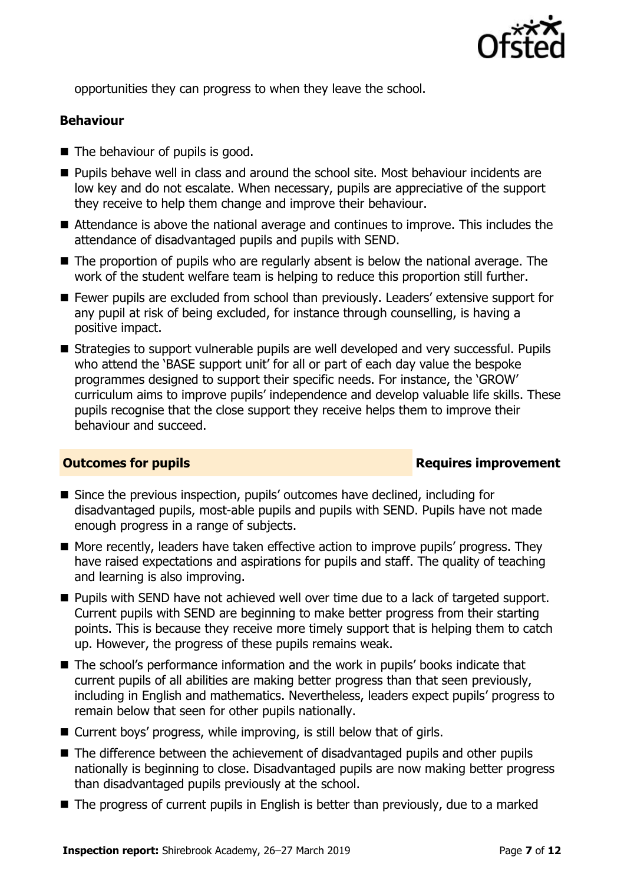

opportunities they can progress to when they leave the school.

#### **Behaviour**

- The behaviour of pupils is good.
- **Pupils behave well in class and around the school site. Most behaviour incidents are** low key and do not escalate. When necessary, pupils are appreciative of the support they receive to help them change and improve their behaviour.
- Attendance is above the national average and continues to improve. This includes the attendance of disadvantaged pupils and pupils with SEND.
- The proportion of pupils who are regularly absent is below the national average. The work of the student welfare team is helping to reduce this proportion still further.
- Fewer pupils are excluded from school than previously. Leaders' extensive support for any pupil at risk of being excluded, for instance through counselling, is having a positive impact.
- Strategies to support vulnerable pupils are well developed and very successful. Pupils who attend the 'BASE support unit' for all or part of each day value the bespoke programmes designed to support their specific needs. For instance, the 'GROW' curriculum aims to improve pupils' independence and develop valuable life skills. These pupils recognise that the close support they receive helps them to improve their behaviour and succeed.

#### **Outcomes for pupils Requires improvement**

- Since the previous inspection, pupils' outcomes have declined, including for disadvantaged pupils, most-able pupils and pupils with SEND. Pupils have not made enough progress in a range of subjects.
- More recently, leaders have taken effective action to improve pupils' progress. They have raised expectations and aspirations for pupils and staff. The quality of teaching and learning is also improving.
- **Pupils with SEND have not achieved well over time due to a lack of targeted support.** Current pupils with SEND are beginning to make better progress from their starting points. This is because they receive more timely support that is helping them to catch up. However, the progress of these pupils remains weak.
- The school's performance information and the work in pupils' books indicate that current pupils of all abilities are making better progress than that seen previously, including in English and mathematics. Nevertheless, leaders expect pupils' progress to remain below that seen for other pupils nationally.
- Current boys' progress, while improving, is still below that of girls.
- The difference between the achievement of disadvantaged pupils and other pupils nationally is beginning to close. Disadvantaged pupils are now making better progress than disadvantaged pupils previously at the school.
- The progress of current pupils in English is better than previously, due to a marked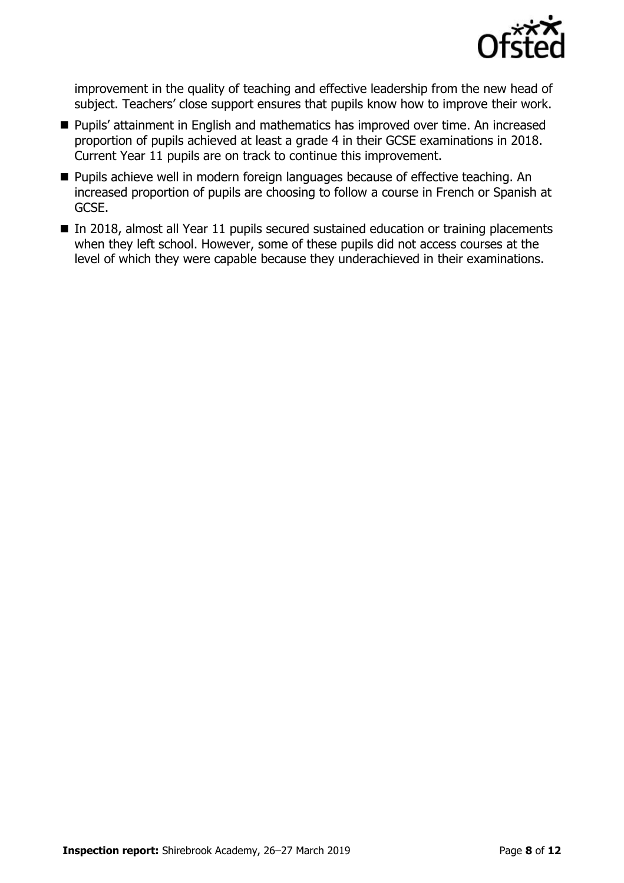

improvement in the quality of teaching and effective leadership from the new head of subject. Teachers' close support ensures that pupils know how to improve their work.

- **Pupils' attainment in English and mathematics has improved over time. An increased** proportion of pupils achieved at least a grade 4 in their GCSE examinations in 2018. Current Year 11 pupils are on track to continue this improvement.
- **Pupils achieve well in modern foreign languages because of effective teaching. An** increased proportion of pupils are choosing to follow a course in French or Spanish at GCSE.
- $\blacksquare$  In 2018, almost all Year 11 pupils secured sustained education or training placements when they left school. However, some of these pupils did not access courses at the level of which they were capable because they underachieved in their examinations.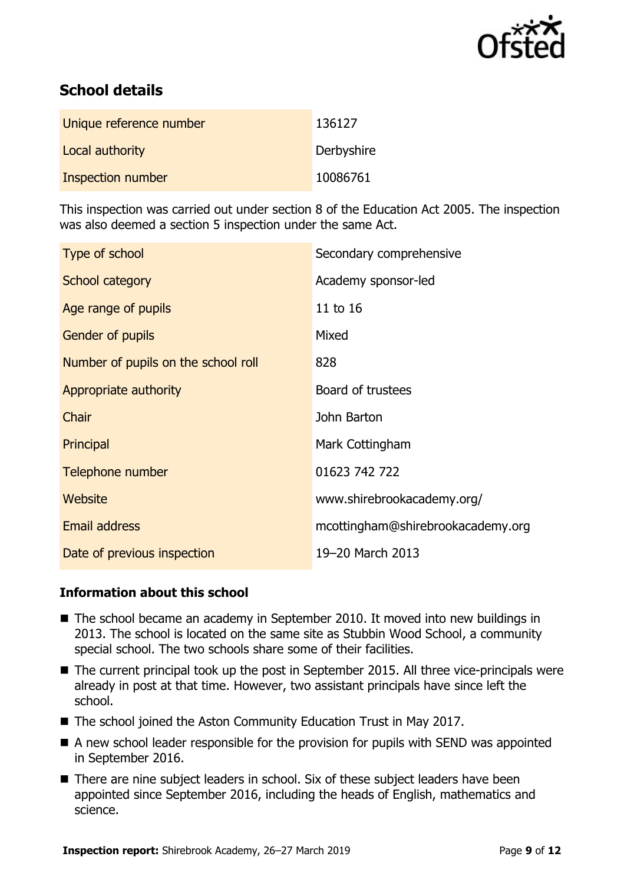

# **School details**

| Unique reference number | 136127     |
|-------------------------|------------|
| Local authority         | Derbyshire |
| Inspection number       | 10086761   |

This inspection was carried out under section 8 of the Education Act 2005. The inspection was also deemed a section 5 inspection under the same Act.

| Type of school                      | Secondary comprehensive           |
|-------------------------------------|-----------------------------------|
| School category                     | Academy sponsor-led               |
| Age range of pupils                 | 11 to 16                          |
| <b>Gender of pupils</b>             | Mixed                             |
| Number of pupils on the school roll | 828                               |
| Appropriate authority               | Board of trustees                 |
| Chair                               | John Barton                       |
| Principal                           | Mark Cottingham                   |
| Telephone number                    | 01623 742 722                     |
| Website                             | www.shirebrookacademy.org/        |
| Email address                       | mcottingham@shirebrookacademy.org |
| Date of previous inspection         | 19-20 March 2013                  |

#### **Information about this school**

- The school became an academy in September 2010. It moved into new buildings in 2013. The school is located on the same site as Stubbin Wood School, a community special school. The two schools share some of their facilities.
- The current principal took up the post in September 2015. All three vice-principals were already in post at that time. However, two assistant principals have since left the school.
- The school joined the Aston Community Education Trust in May 2017.
- A new school leader responsible for the provision for pupils with SEND was appointed in September 2016.
- There are nine subject leaders in school. Six of these subject leaders have been appointed since September 2016, including the heads of English, mathematics and science.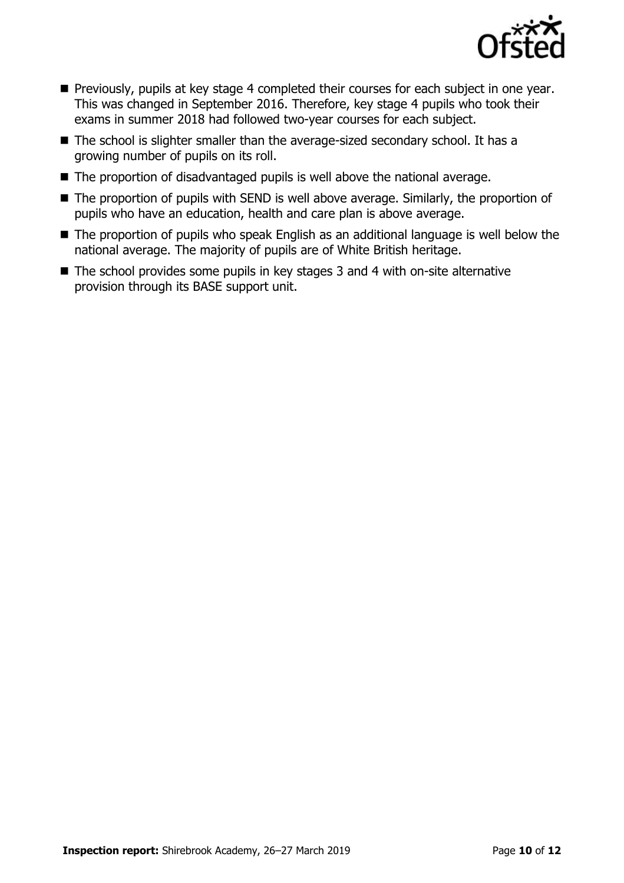

- **Previously, pupils at key stage 4 completed their courses for each subject in one year.** This was changed in September 2016. Therefore, key stage 4 pupils who took their exams in summer 2018 had followed two-year courses for each subject.
- The school is slighter smaller than the average-sized secondary school. It has a growing number of pupils on its roll.
- The proportion of disadvantaged pupils is well above the national average.
- The proportion of pupils with SEND is well above average. Similarly, the proportion of pupils who have an education, health and care plan is above average.
- The proportion of pupils who speak English as an additional language is well below the national average. The majority of pupils are of White British heritage.
- The school provides some pupils in key stages 3 and 4 with on-site alternative provision through its BASE support unit.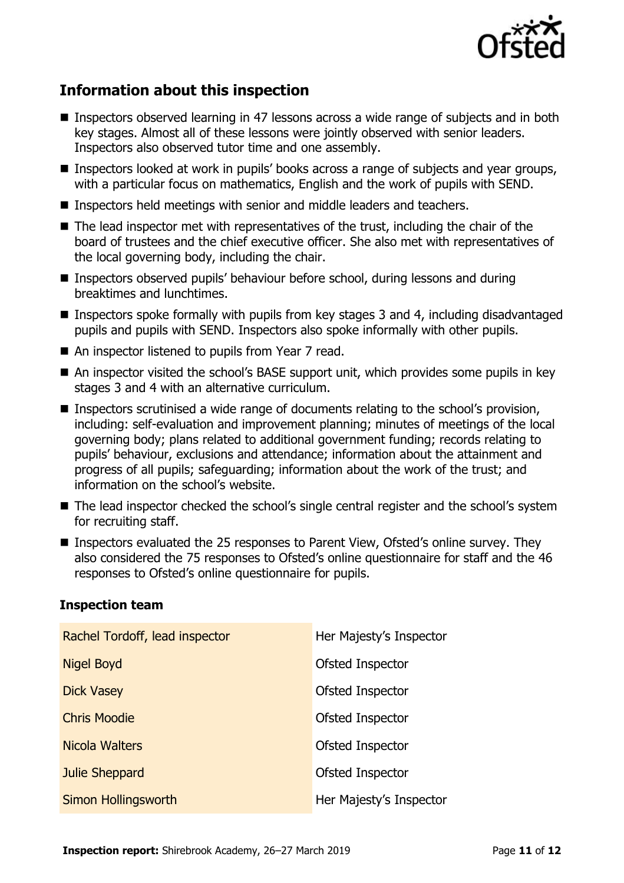

# **Information about this inspection**

- Inspectors observed learning in 47 lessons across a wide range of subjects and in both key stages. Almost all of these lessons were jointly observed with senior leaders. Inspectors also observed tutor time and one assembly.
- Inspectors looked at work in pupils' books across a range of subjects and year groups, with a particular focus on mathematics, English and the work of pupils with SEND.
- Inspectors held meetings with senior and middle leaders and teachers.
- The lead inspector met with representatives of the trust, including the chair of the board of trustees and the chief executive officer. She also met with representatives of the local governing body, including the chair.
- Inspectors observed pupils' behaviour before school, during lessons and during breaktimes and lunchtimes.
- **Inspectors spoke formally with pupils from key stages 3 and 4, including disadvantaged** pupils and pupils with SEND. Inspectors also spoke informally with other pupils.
- An inspector listened to pupils from Year 7 read.
- An inspector visited the school's BASE support unit, which provides some pupils in key stages 3 and 4 with an alternative curriculum.
- Inspectors scrutinised a wide range of documents relating to the school's provision, including: self-evaluation and improvement planning; minutes of meetings of the local governing body; plans related to additional government funding; records relating to pupils' behaviour, exclusions and attendance; information about the attainment and progress of all pupils; safeguarding; information about the work of the trust; and information on the school's website.
- The lead inspector checked the school's single central register and the school's system for recruiting staff.
- Inspectors evaluated the 25 responses to Parent View, Ofsted's online survey. They also considered the 75 responses to Ofsted's online questionnaire for staff and the 46 responses to Ofsted's online questionnaire for pupils.

| Rachel Tordoff, lead inspector | Her Majesty's Inspector |
|--------------------------------|-------------------------|
| Nigel Boyd                     | Ofsted Inspector        |
| <b>Dick Vasey</b>              | Ofsted Inspector        |
| <b>Chris Moodie</b>            | Ofsted Inspector        |
| Nicola Walters                 | Ofsted Inspector        |
| Julie Sheppard                 | Ofsted Inspector        |
| Simon Hollingsworth            | Her Majesty's Inspector |

### **Inspection team**